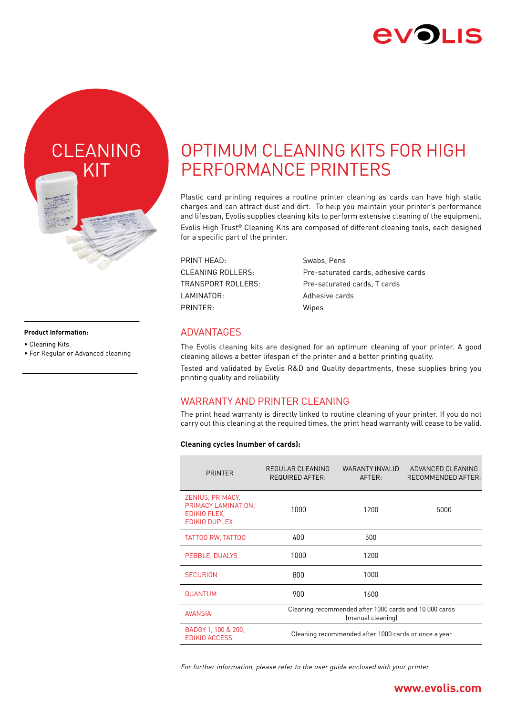



#### **Product Information:**

- Cleaning Kits
- For Regular or Advanced cleaning

# OPTIMUM CLEANING KITS FOR HIGH PERFORMANCE PRINTERS

Plastic card printing requires a routine printer cleaning as cards can have high static charges and can attract dust and dirt. To help you maintain your printer's performance and lifespan, Evolis supplies cleaning kits to perform extensive cleaning of the equipment. Evolis High Trust® Cleaning Kits are composed of different cleaning tools, each designed for a specific part of the printer.

| PRINT HEAD:        | Swabs, Pens                         |
|--------------------|-------------------------------------|
| CLEANING ROLLERS:  | Pre-saturated cards, adhesive cards |
| TRANSPORT ROLLERS: | Pre-saturated cards, T cards        |
| LAMINATOR:         | Adhesive cards                      |
| PRINTER:           | Wipes                               |
|                    |                                     |

### **ADVANTAGES**

The Evolis cleaning kits are designed for an optimum cleaning of your printer. A good cleaning allows a better lifespan of the printer and a better printing quality.

Tested and validated by Evolis R&D and Quality departments, these supplies bring you printing quality and reliability

## WARRANTY AND PRINTER CLEANING

The print head warranty is directly linked to routine cleaning of your printer. If you do not carry out this cleaning at the required times, the print head warranty will cease to be valid.

#### **Cleaning cycles (number of cards):**

| REGULAR CLEANING<br><b>REQUIRED AFTER:</b>                                  | WARANTY INVALID<br>AFTER: | ADVANCED CLEANING<br>RECOMMENDED AFTER: |  |  |  |
|-----------------------------------------------------------------------------|---------------------------|-----------------------------------------|--|--|--|
| 1000                                                                        | 1200                      | 5000                                    |  |  |  |
| 400                                                                         | 500                       |                                         |  |  |  |
| 1000                                                                        | 1200                      |                                         |  |  |  |
| 800                                                                         | 1000                      |                                         |  |  |  |
| 900                                                                         | 1600                      |                                         |  |  |  |
| Cleaning recommended after 1000 cards and 10 000 cards<br>(manual cleaning) |                           |                                         |  |  |  |
| Cleaning recommended after 1000 cards or once a year                        |                           |                                         |  |  |  |
|                                                                             |                           |                                         |  |  |  |

For further information, please refer to the user guide enclosed with your printer